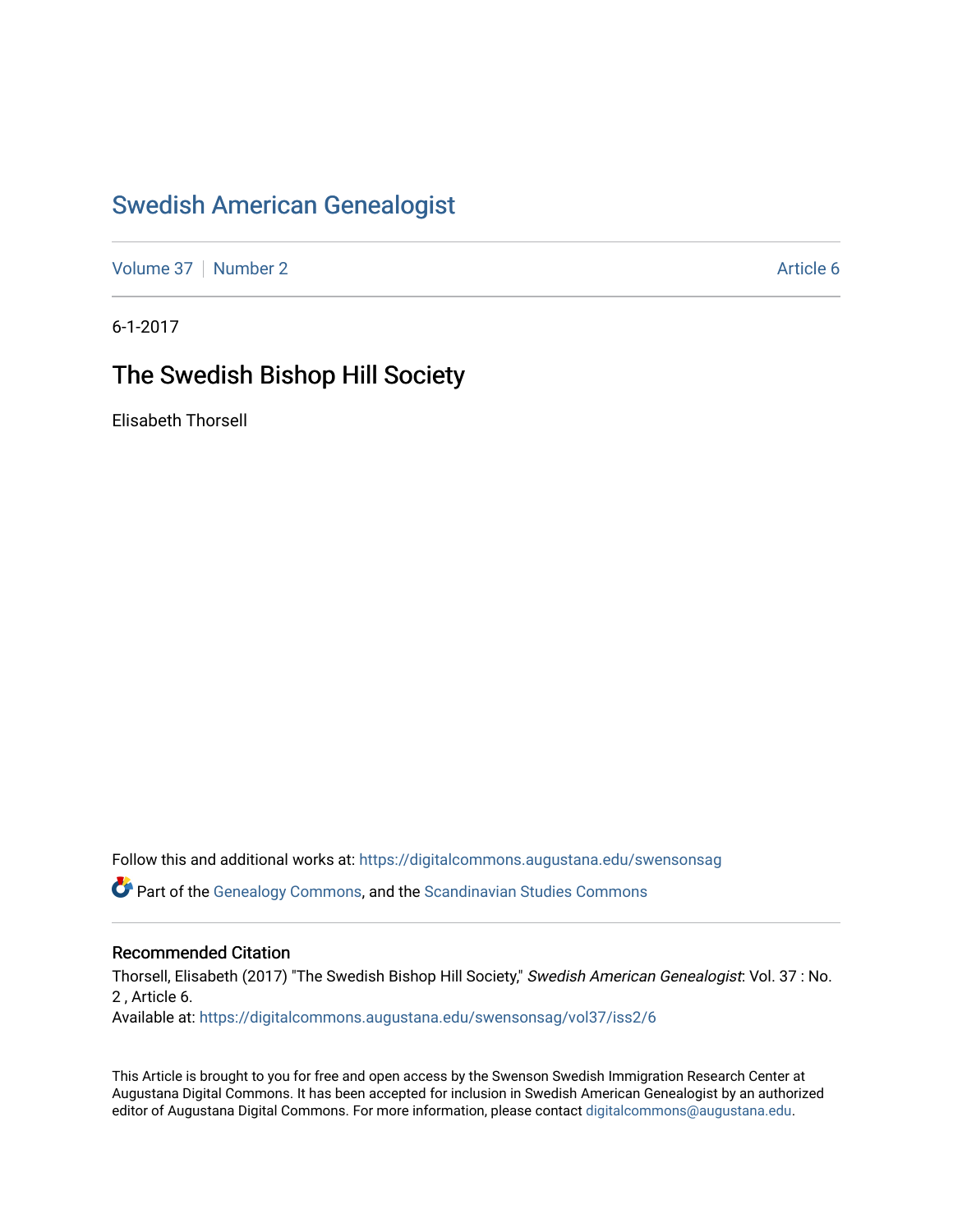# [Swedish American Genealogist](https://digitalcommons.augustana.edu/swensonsag)

[Volume 37](https://digitalcommons.augustana.edu/swensonsag/vol37) | [Number 2](https://digitalcommons.augustana.edu/swensonsag/vol37/iss2) Article 6

6-1-2017

## The Swedish Bishop Hill Society

Elisabeth Thorsell

Follow this and additional works at: [https://digitalcommons.augustana.edu/swensonsag](https://digitalcommons.augustana.edu/swensonsag?utm_source=digitalcommons.augustana.edu%2Fswensonsag%2Fvol37%2Fiss2%2F6&utm_medium=PDF&utm_campaign=PDFCoverPages) 

Part of the [Genealogy Commons,](http://network.bepress.com/hgg/discipline/1342?utm_source=digitalcommons.augustana.edu%2Fswensonsag%2Fvol37%2Fiss2%2F6&utm_medium=PDF&utm_campaign=PDFCoverPages) and the [Scandinavian Studies Commons](http://network.bepress.com/hgg/discipline/485?utm_source=digitalcommons.augustana.edu%2Fswensonsag%2Fvol37%2Fiss2%2F6&utm_medium=PDF&utm_campaign=PDFCoverPages)

#### Recommended Citation

Thorsell, Elisabeth (2017) "The Swedish Bishop Hill Society," Swedish American Genealogist: Vol. 37 : No. 2 , Article 6. Available at: [https://digitalcommons.augustana.edu/swensonsag/vol37/iss2/6](https://digitalcommons.augustana.edu/swensonsag/vol37/iss2/6?utm_source=digitalcommons.augustana.edu%2Fswensonsag%2Fvol37%2Fiss2%2F6&utm_medium=PDF&utm_campaign=PDFCoverPages) 

This Article is brought to you for free and open access by the Swenson Swedish Immigration Research Center at Augustana Digital Commons. It has been accepted for inclusion in Swedish American Genealogist by an authorized editor of Augustana Digital Commons. For more information, please contact [digitalcommons@augustana.edu.](mailto:digitalcommons@augustana.edu)